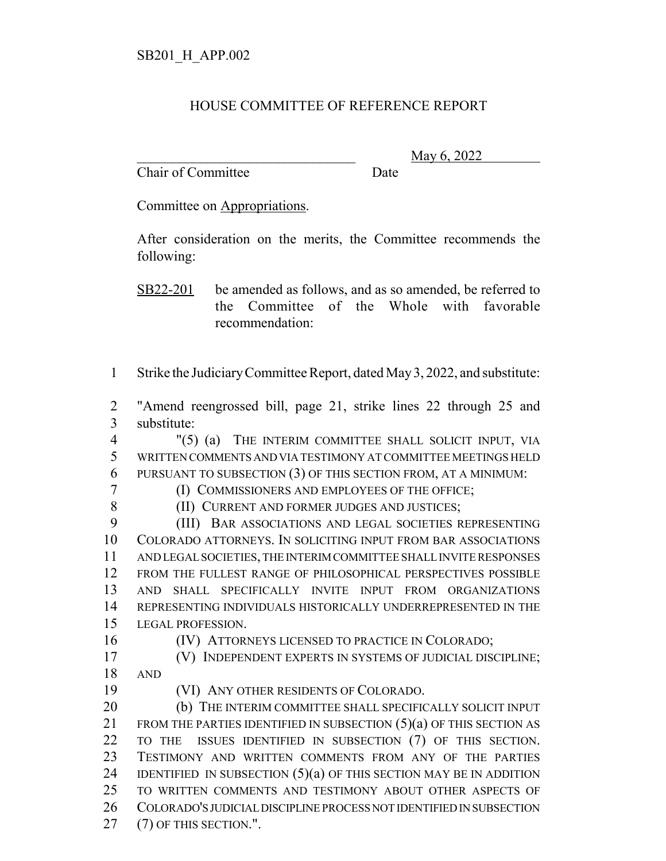## HOUSE COMMITTEE OF REFERENCE REPORT

Chair of Committee Date

\_\_\_\_\_\_\_\_\_\_\_\_\_\_\_\_\_\_\_\_\_\_\_\_\_\_\_\_\_\_\_ May 6, 2022

Committee on Appropriations.

After consideration on the merits, the Committee recommends the following:

SB22-201 be amended as follows, and as so amended, be referred to the Committee of the Whole with favorable recommendation:

Strike the Judiciary Committee Report, dated May 3, 2022, and substitute:

 "Amend reengrossed bill, page 21, strike lines 22 through 25 and substitute:

 "(5) (a) THE INTERIM COMMITTEE SHALL SOLICIT INPUT, VIA WRITTEN COMMENTS AND VIA TESTIMONY AT COMMITTEE MEETINGS HELD PURSUANT TO SUBSECTION (3) OF THIS SECTION FROM, AT A MINIMUM:

(I) COMMISSIONERS AND EMPLOYEES OF THE OFFICE;

(II) CURRENT AND FORMER JUDGES AND JUSTICES;

 (III) BAR ASSOCIATIONS AND LEGAL SOCIETIES REPRESENTING COLORADO ATTORNEYS. IN SOLICITING INPUT FROM BAR ASSOCIATIONS AND LEGAL SOCIETIES, THE INTERIM COMMITTEE SHALL INVITE RESPONSES FROM THE FULLEST RANGE OF PHILOSOPHICAL PERSPECTIVES POSSIBLE AND SHALL SPECIFICALLY INVITE INPUT FROM ORGANIZATIONS REPRESENTING INDIVIDUALS HISTORICALLY UNDERREPRESENTED IN THE LEGAL PROFESSION.

(IV) ATTORNEYS LICENSED TO PRACTICE IN COLORADO;

 (V) INDEPENDENT EXPERTS IN SYSTEMS OF JUDICIAL DISCIPLINE; AND

(VI) ANY OTHER RESIDENTS OF COLORADO.

 (b) THE INTERIM COMMITTEE SHALL SPECIFICALLY SOLICIT INPUT 21 FROM THE PARTIES IDENTIFIED IN SUBSECTION (5)(a) OF THIS SECTION AS TO THE ISSUES IDENTIFIED IN SUBSECTION (7) OF THIS SECTION. TESTIMONY AND WRITTEN COMMENTS FROM ANY OF THE PARTIES 24 IDENTIFIED IN SUBSECTION  $(5)(a)$  of this section MAY BE IN ADDITION TO WRITTEN COMMENTS AND TESTIMONY ABOUT OTHER ASPECTS OF COLORADO'S JUDICIAL DISCIPLINE PROCESS NOT IDENTIFIED IN SUBSECTION 27 (7) OF THIS SECTION.".